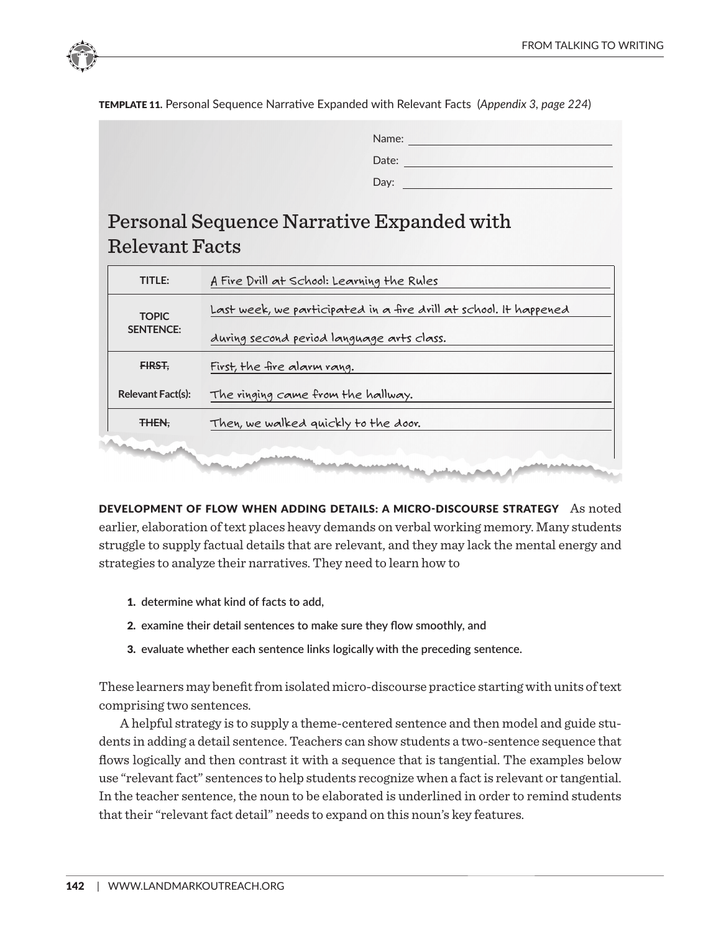

TEMPLATE 11. Personal Sequence Narrative Expanded with Relevant Facts (*Appendix 3, page 224*)

| Name: |  |  |  |
|-------|--|--|--|
| Date: |  |  |  |
| Day:  |  |  |  |

# Personal Sequence Narrative Expanded with Relevant Facts

| TITLE:                           | A Fire Drill at School: Learning the Rules                        |  |  |  |
|----------------------------------|-------------------------------------------------------------------|--|--|--|
| <b>TOPIC</b><br><b>SENTENCE:</b> | Last week, we participated in a fire drill at school. It happened |  |  |  |
|                                  | during second period language arts class.                         |  |  |  |
| FIRST.                           | First, the fire alarm rang.                                       |  |  |  |
| Relevant Fact(s):                | The ringing came from the hallway.                                |  |  |  |
| THEN.                            | Then, we walked quickly to the door.                              |  |  |  |
|                                  |                                                                   |  |  |  |
|                                  |                                                                   |  |  |  |

DEVELOPMENT OF FLOW WHEN ADDING DETAILS: A MICRO-DISCOURSE STRATEGY As noted **AFTER THAT,** After that, Mr. Jones took attendance. struggle to supply factual details that are relevant, and they may lack the mental energy and strategies to analyze their narratives. They need to learn how to earlier, elaboration of text places heavy demands on verbal working memory. Many students

- **1.** determine what kind of facts to add,
- **2.** examine their detail sentences to make sure they flow smoothly, and
- 3. evaluate whether each sentence links logically with the preceding sentence.

These learners may benefit from isolated micro-discourse practice starting with units of text comprising two sentences.

In the teacher schlenee, the heart to be expanded is anaerimed in eract to that their "relevant fact detail" needs to expand on this noun's key features. A helpful strategy is to supply a theme-centered sentence and then model and guide students in adding a detail sentence. Teachers can show students a two-sentence sequence that flows logically and then contrast it with a sequence that is tangential. The examples below use "relevant fact" sentences to help students recognize when a fact is relevant or tangential. In the teacher sentence, the noun to be elaborated is underlined in order to remind students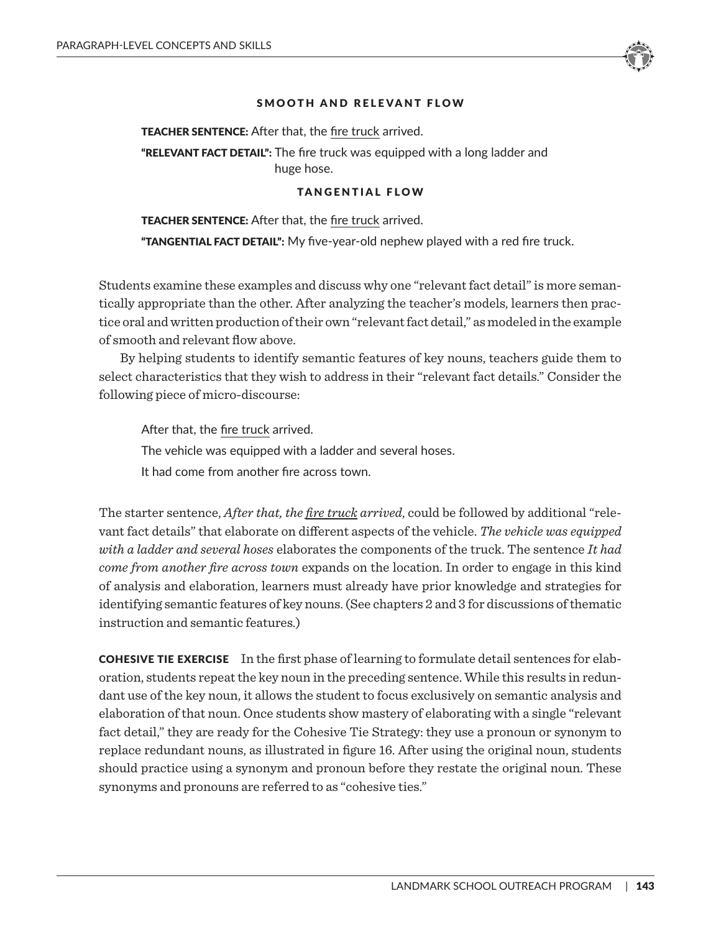

TEACHER SENTENCE: After that, the fire truck arrived. **"RELEVANT FACT DETAIL":** The fire truck was equipped with a long ladder and huge hose.

#### TANGENTIAL FLOW

**TEACHER SENTENCE:** After that, the fire truck arrived. "TANGENTIAL FACT DETAIL": My five-year-old nephew played with a red fire truck.

Students examine these examples and discuss why one "relevant fact detail" is more semantically appropriate than the other. After analyzing the teacher's models, learners then practice oral and written production of their own "relevant fact detail," as modeled in the example of smooth and relevant flow above.

By helping students to identify semantic features of key nouns, teachers guide them to select characteristics that they wish to address in their "relevant fact details." Consider the following piece of micro-discourse:

After that, the fire truck arrived. The vehicle was equipped with a ladder and several hoses. It had come from another fire across town.

The starter sentence, *After that, the fire truck arrived*, could be followed by additional "relevant fact details" that elaborate on different aspects of the vehicle. *The vehicle was equipped with a ladder and several hoses* elaborates the components of the truck. The sentence *It had come from another fire across town* expands on the location. In order to engage in this kind of analysis and elaboration, learners must already have prior knowledge and strategies for identifying semantic features of key nouns. (See chapters 2 and 3 for discussions of thematic instruction and semantic features.)

COHESIVE TIE EXERCISE In the first phase of learning to formulate detail sentences for elaboration, students repeat the key noun in the preceding sentence. While this results in redundant use of the key noun, it allows the student to focus exclusively on semantic analysis and elaboration of that noun. Once students show mastery of elaborating with a single "relevant fact detail," they are ready for the Cohesive Tie Strategy: they use a pronoun or synonym to replace redundant nouns, as illustrated in figure 16. After using the original noun, students should practice using a synonym and pronoun before they restate the original noun. These synonyms and pronouns are referred to as "cohesive ties."